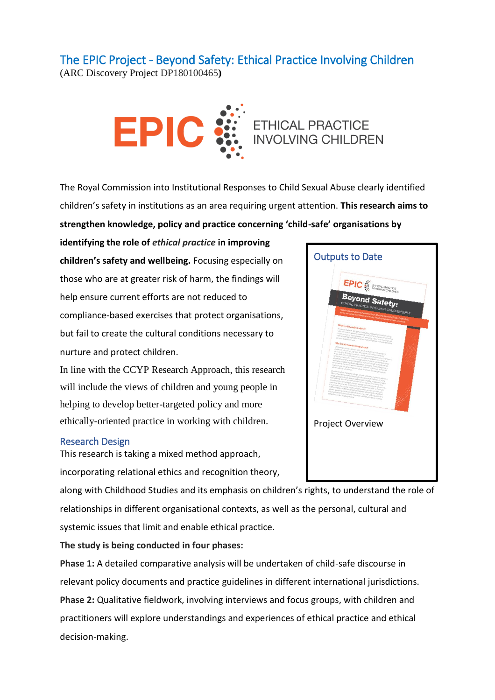## The EPIC Project - Beyond Safety: Ethical Practice Involving Children

(ARC Discovery Project DP180100465**)**



The Royal Commission into Institutional Responses to Child Sexual Abuse clearly identified children's safety in institutions as an area requiring urgent attention. **This research aims to strengthen knowledge, policy and practice concerning 'child-safe' organisations by** 

**identifying the role of** *ethical practice* **in improving children's safety and wellbeing.** Focusing especially on those who are at greater risk of harm, the findings will help ensure current efforts are not reduced to compliance-based exercises that protect organisations, but fail to create the cultural conditions necessary to nurture and protect children.

In line with the CCYP Research Approach, this research will include the views of children and young people in helping to develop better-targeted policy and more ethically-oriented practice in working with children.

## Research Design

This research is taking a mixed method approach, incorporating relational ethics and recognition theory,

along with Childhood Studies and its emphasis on children's rights, to understand the role of relationships in different organisational contexts, as well as the personal, cultural and systemic issues that limit and enable ethical practice.

## **The study is being conducted in four phases:**

**Phase 1:** A detailed comparative analysis will be undertaken of child-safe discourse in relevant policy documents and practice guidelines in different international jurisdictions. **Phase 2:** Qualitative fieldwork, involving interviews and focus groups, with children and practitioners will explore understandings and experiences of ethical practice and ethical decision-making.